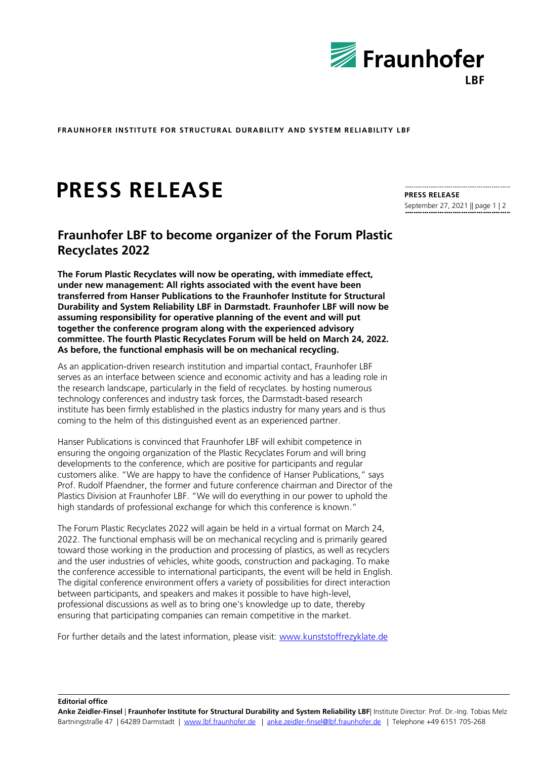

**FRAUNHOFER INSTITUTE FOR STRUCTURAL DURABILITY AND SYSTEM RELIABILITY LBF**

## **PRESS RELEASE**

## **Fraunhofer LBF to become organizer of the Forum Plastic Recyclates 2022**

**The Forum Plastic Recyclates will now be operating, with immediate effect, under new management: All rights associated with the event have been transferred from Hanser Publications to the Fraunhofer Institute for Structural Durability and System Reliability LBF in Darmstadt. Fraunhofer LBF will now be assuming responsibility for operative planning of the event and will put together the conference program along with the experienced advisory committee. The fourth Plastic Recyclates Forum will be held on March 24, 2022. As before, the functional emphasis will be on mechanical recycling.**

As an application-driven research institution and impartial contact, Fraunhofer LBF serves as an interface between science and economic activity and has a leading role in the research landscape, particularly in the field of recyclates. by hosting numerous technology conferences and industry task forces, the Darmstadt-based research institute has been firmly established in the plastics industry for many years and is thus coming to the helm of this distinguished event as an experienced partner.

Hanser Publications is convinced that Fraunhofer LBF will exhibit competence in ensuring the ongoing organization of the Plastic Recyclates Forum and will bring developments to the conference, which are positive for participants and regular customers alike. "We are happy to have the confidence of Hanser Publications," says Prof. Rudolf Pfaendner, the former and future conference chairman and Director of the Plastics Division at Fraunhofer LBF. "We will do everything in our power to uphold the high standards of professional exchange for which this conference is known."

The Forum Plastic Recyclates 2022 will again be held in a virtual format on March 24, 2022. The functional emphasis will be on mechanical recycling and is primarily geared toward those working in the production and processing of plastics, as well as recyclers and the user industries of vehicles, white goods, construction and packaging. To make the conference accessible to international participants, the event will be held in English. The digital conference environment offers a variety of possibilities for direct interaction between participants, and speakers and makes it possible to have high-level, professional discussions as well as to bring one's knowledge up to date, thereby ensuring that participating companies can remain competitive in the market.

For further details and the latest information, please visit: [www.kunststoffrezyklate.de](http://www.kunststoffrezyklate.de/)

**PRESS RELEASE** September 27, 2021 || page 1 | 2

**Editorial office**